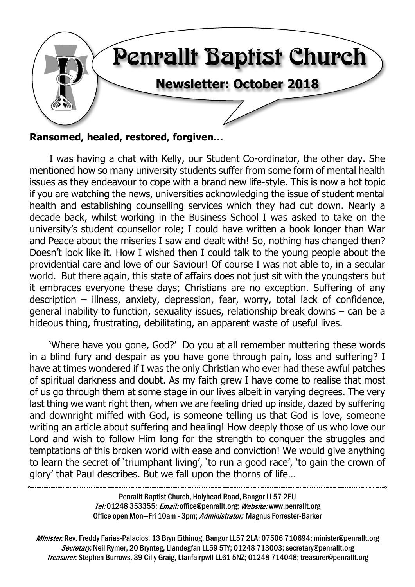

#### **Ransomed, healed, restored, forgiven…**

I was having a chat with Kelly, our Student Co-ordinator, the other day. She mentioned how so many university students suffer from some form of mental health issues as they endeavour to cope with a brand new life-style. This is now a hot topic if you are watching the news, universities acknowledging the issue of student mental health and establishing counselling services which they had cut down. Nearly a decade back, whilst working in the Business School I was asked to take on the university's student counsellor role; I could have written a book longer than War and Peace about the miseries I saw and dealt with! So, nothing has changed then? Doesn't look like it. How I wished then I could talk to the young people about the providential care and love of our Saviour! Of course I was not able to, in a secular world. But there again, this state of affairs does not just sit with the youngsters but it embraces everyone these days; Christians are no exception. Suffering of any description – illness, anxiety, depression, fear, worry, total lack of confidence, general inability to function, sexuality issues, relationship break downs – can be a hideous thing, frustrating, debilitating, an apparent waste of useful lives.

'Where have you gone, God?' Do you at all remember muttering these words in a blind fury and despair as you have gone through pain, loss and suffering? I have at times wondered if I was the only Christian who ever had these awful patches of spiritual darkness and doubt. As my faith grew I have come to realise that most of us go through them at some stage in our lives albeit in varying degrees. The very last thing we want right then, when we are feeling dried up inside, dazed by suffering and downright miffed with God, is someone telling us that God is love, someone writing an article about suffering and healing! How deeply those of us who love our Lord and wish to follow Him long for the strength to conquer the struggles and temptations of this broken world with ease and conviction! We would give anything to learn the secret of 'triumphant living', 'to run a good race', 'to gain the crown of glory' that Paul describes. But we fall upon the thorns of life…

Penrallt Baptist Church, Holyhead Road, Bangor LL57 2EU Tel:01248 353355; Email: office@penrallt.org; Website: www.penrallt.org Office open Mon-Fri 10am - 3pm; Administrator: Magnus Forrester-Barker

Minister: Rev. Freddy Farias-Palacios, 13 Bryn Eithinog, Bangor LL57 2LA; 07506 710694; minister@penrallt.org Secretary: Neil Rymer, 20 Brynteg, Llandegfan LL59 5TY; 01248 713003; secretary@penrallt.org Treasurer: Stephen Burrows, 39 Cil y Graig, Llanfairpwll LL61 5NZ; 01248 714048; treasurer@penrallt.org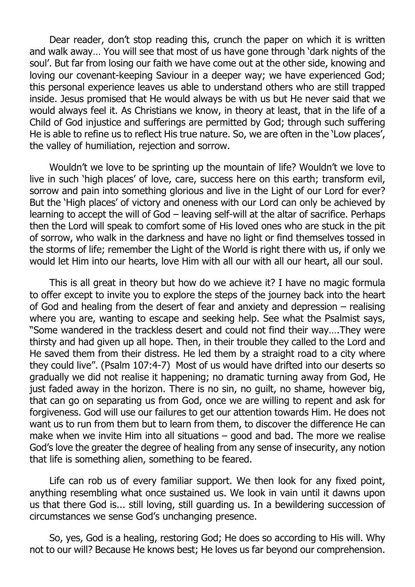Dear reader, don't stop reading this, crunch the paper on which it is written and walk away… You will see that most of us have gone through 'dark nights of the soul'. But far from losing our faith we have come out at the other side, knowing and loving our covenant-keeping Saviour in a deeper way; we have experienced God; this personal experience leaves us able to understand others who are still trapped inside. Jesus promised that He would always be with us but He never said that we would always feel it. As Christians we know, in theory at least, that in the life of a Child of God injustice and sufferings are permitted by God; through such suffering He is able to refine us to reflect His true nature. So, we are often in the 'Low places', the valley of humiliation, rejection and sorrow.

Wouldn't we love to be sprinting up the mountain of life? Wouldn't we love to live in such 'high places' of love, care, success here on this earth; transform evil, sorrow and pain into something glorious and live in the Light of our Lord for ever? But the 'High places' of victory and oneness with our Lord can only be achieved by learning to accept the will of God – leaving self-will at the altar of sacrifice. Perhaps then the Lord will speak to comfort some of His loved ones who are stuck in the pit of sorrow, who walk in the darkness and have no light or find themselves tossed in the storms of life; remember the Light of the World is right there with us, if only we would let Him into our hearts, love Him with all our with all our heart, all our soul.

This is all great in theory but how do we achieve it? I have no magic formula to offer except to invite you to explore the steps of the journey back into the heart of God and healing from the desert of fear and anxiety and depression – realising where you are, wanting to escape and seeking help. See what the Psalmist says, "Some wandered in the trackless desert and could not find their way….They were thirsty and had given up all hope. Then, in their trouble they called to the Lord and He saved them from their distress. He led them by a straight road to a city where they could live". (Psalm 107:4-7) Most of us would have drifted into our deserts so gradually we did not realise it happening; no dramatic turning away from God, He just faded away in the horizon. There is no sin, no guilt, no shame, however big, that can go on separating us from God, once we are willing to repent and ask for forgiveness. God will use our failures to get our attention towards Him. He does not want us to run from them but to learn from them, to discover the difference He can make when we invite Him into all situations – good and bad. The more we realise God's love the greater the degree of healing from any sense of insecurity, any notion that life is something alien, something to be feared.

Life can rob us of every familiar support. We then look for any fixed point, anything resembling what once sustained us. We look in vain until it dawns upon us that there God is... still loving, still guarding us. In a bewildering succession of circumstances we sense God's unchanging presence.

So, yes, God is a healing, restoring God; He does so according to His will. Why not to our will? Because He knows best; He loves us far beyond our comprehension.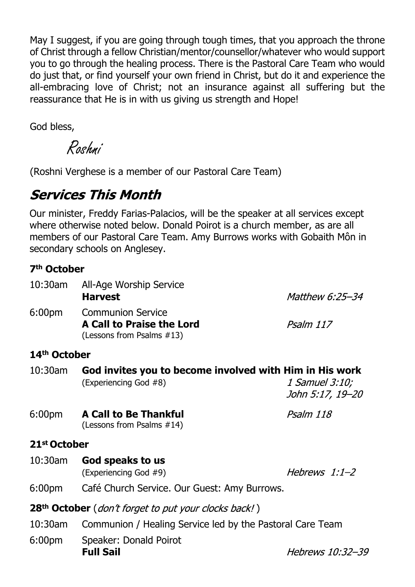May I suggest, if you are going through tough times, that you approach the throne of Christ through a fellow Christian/mentor/counsellor/whatever who would support you to go through the healing process. There is the Pastoral Care Team who would do just that, or find yourself your own friend in Christ, but do it and experience the all-embracing love of Christ; not an insurance against all suffering but the reassurance that He is in with us giving us strength and Hope!

God bless,

Roshni

(Roshni Verghese is a member of our Pastoral Care Team)

# **Services This Month**

Our minister, Freddy Farias-Palacios, will be the speaker at all services except where otherwise noted below. Donald Poirot is a church member, as are all members of our Pastoral Care Team. Amy Burrows works with Gobaith Môn in secondary schools on Anglesey.

#### **7th October**

| 10:30am                  | All-Age Worship Service<br><b>Harvest</b>                                                 | <i>Matthew 6:25-34</i>             |  |
|--------------------------|-------------------------------------------------------------------------------------------|------------------------------------|--|
| 6:00 <sub>pm</sub>       | <b>Communion Service</b><br><b>A Call to Praise the Lord</b><br>(Lessons from Psalms #13) | Psalm 117                          |  |
| 14 <sup>th</sup> October |                                                                                           |                                    |  |
| $10:30$ am               | God invites you to become involved with Him in His work<br>(Experiencing God #8)          | 1 Samuel 3:10;<br>John 5:17, 19–20 |  |
| 6:00 <sub>pm</sub>       | <b>A Call to Be Thankful</b><br>(Lessons from Psalms #14)                                 | Psalm 118                          |  |
| 21 <sup>st</sup> October |                                                                                           |                                    |  |
| $10:30$ am               | God speaks to us<br>(Experiencing God #9)                                                 | Hebrews 1:1-2                      |  |
| 6:00 <sub>pm</sub>       | Café Church Service. Our Guest: Amy Burrows.                                              |                                    |  |
|                          | 28 <sup>th</sup> October ( <i>don't forget to put your clocks back!</i> )                 |                                    |  |
| $10:30$ am               | Communion / Healing Service led by the Pastoral Care Team                                 |                                    |  |
| 6:00 <sub>pm</sub>       | Speaker: Donald Poirot<br><b>Full Sail</b>                                                | Hebrews 10:32-39                   |  |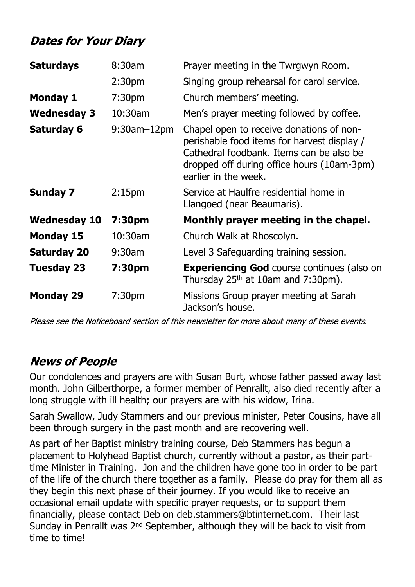# **Dates for Your Diary**

| <b>Saturdays</b>    | 8:30am             | Prayer meeting in the Twrgwyn Room.                                                                                                                                                                       |  |
|---------------------|--------------------|-----------------------------------------------------------------------------------------------------------------------------------------------------------------------------------------------------------|--|
|                     | 2:30 <sub>pm</sub> | Singing group rehearsal for carol service.                                                                                                                                                                |  |
| <b>Monday 1</b>     | 7:30 <sub>pm</sub> | Church members' meeting.                                                                                                                                                                                  |  |
| <b>Wednesday 3</b>  | 10:30am            | Men's prayer meeting followed by coffee.                                                                                                                                                                  |  |
| <b>Saturday 6</b>   | $9:30$ am $-12$ pm | Chapel open to receive donations of non-<br>perishable food items for harvest display /<br>Cathedral foodbank. Items can be also be<br>dropped off during office hours (10am-3pm)<br>earlier in the week. |  |
| <b>Sunday 7</b>     | 2:15 <sub>pm</sub> | Service at Haulfre residential home in<br>Llangoed (near Beaumaris).                                                                                                                                      |  |
| <b>Wednesday 10</b> | 7:30pm             | Monthly prayer meeting in the chapel.                                                                                                                                                                     |  |
| <b>Monday 15</b>    | 10:30am            | Church Walk at Rhoscolyn.                                                                                                                                                                                 |  |
| <b>Saturday 20</b>  | $9:30$ am          | Level 3 Safeguarding training session.                                                                                                                                                                    |  |
| <b>Tuesday 23</b>   | 7:30pm             | <b>Experiencing God</b> course continues (also on<br>Thursday $25th$ at 10am and 7:30pm).                                                                                                                 |  |
| <b>Monday 29</b>    | 7:30 <sub>pm</sub> | Missions Group prayer meeting at Sarah<br>Jackson's house.                                                                                                                                                |  |

Please see the Noticeboard section of this newsletter for more about many of these events.

# **News of People**

Our condolences and prayers are with Susan Burt, whose father passed away last month. John Gilberthorpe, a former member of Penrallt, also died recently after a long struggle with ill health; our prayers are with his widow, Irina.

Sarah Swallow, Judy Stammers and our previous minister, Peter Cousins, have all been through surgery in the past month and are recovering well.

As part of her Baptist ministry training course, Deb Stammers has begun a placement to Holyhead Baptist church, currently without a pastor, as their parttime Minister in Training. Jon and the children have gone too in order to be part of the life of the church there together as a family. Please do pray for them all as they begin this next phase of their journey. If you would like to receive an occasional email update with specific prayer requests, or to support them financially, please contact Deb on deb.stammers@btinternet.com. Their last Sunday in Penrallt was 2<sup>nd</sup> September, although they will be back to visit from time to time!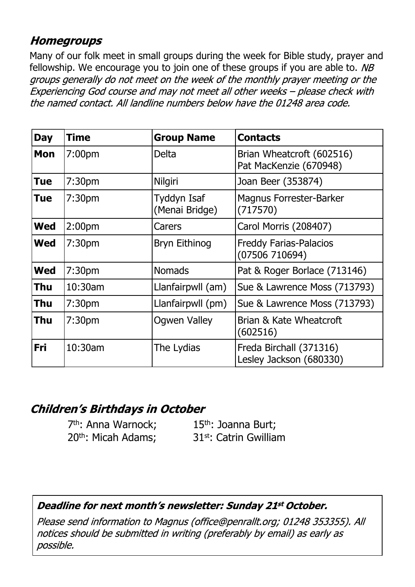## **Homegroups**

Many of our folk meet in small groups during the week for Bible study, prayer and fellowship. We encourage you to join one of these groups if you are able to.  $NB$ groups generally do not meet on the week of the monthly prayer meeting or the Experiencing God course and may not meet all other weeks - please check with the named contact. All landline numbers below have the 01248 area code.

| <b>Day</b> | Time               | <b>Group Name</b>             | <b>Contacts</b>                                     |
|------------|--------------------|-------------------------------|-----------------------------------------------------|
| Mon        | 7:00 <sub>pm</sub> | Delta                         | Brian Wheatcroft (602516)<br>Pat MacKenzie (670948) |
| Tue        | 7:30pm             | Nilgiri                       | Joan Beer (353874)                                  |
| Tue        | 7:30 <sub>pm</sub> | Tyddyn Isaf<br>(Menai Bridge) | <b>Magnus Forrester-Barker</b><br>(717570)          |
| <b>Wed</b> | 2:00 <sub>pm</sub> | Carers                        | Carol Morris (208407)                               |
| <b>Wed</b> | 7:30 <sub>pm</sub> | <b>Bryn Eithinog</b>          | <b>Freddy Farias-Palacios</b><br>(07506710694)      |
| <b>Wed</b> | 7:30 <sub>pm</sub> | <b>Nomads</b>                 | Pat & Roger Borlace (713146)                        |
| Thu        | $10:30$ am         | Llanfairpwll (am)             | Sue & Lawrence Moss (713793)                        |
| Thu        | 7:30 <sub>pm</sub> | Llanfairpwll (pm)             | Sue & Lawrence Moss (713793)                        |
| Thu        | 7:30 <sub>pm</sub> | <b>Ogwen Valley</b>           | Brian & Kate Wheatcroft<br>(602516)                 |
| Fri        | 10:30am            | The Lydias                    | Freda Birchall (371316)<br>Lesley Jackson (680330)  |

## **Children's Birthdays in October**

7<sup>th</sup>: Anna Warnock; 15<sup>th</sup>: Joanna Burt;

20th: Micah Adams; 31st: Catrin Gwilliam

#### Deadline for next month's newsletter: Sunday 21st October.

Please send information to Magnus (office@penrallt.org; 01248 353355). All notices should be submitted in writing (preferably by email) as early as possible.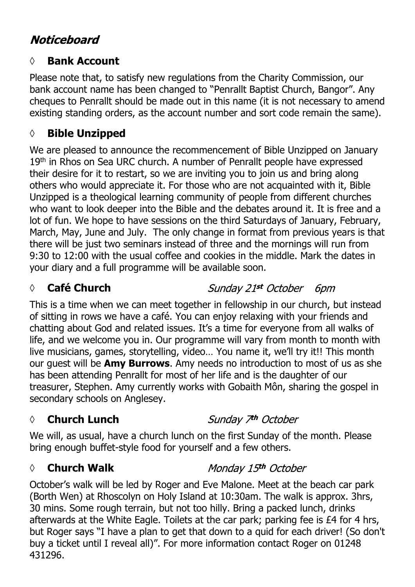# **Noticeboard**

#### **◊ Bank Account**

Please note that, to satisfy new regulations from the Charity Commission, our bank account name has been changed to "Penrallt Baptist Church, Bangor". Any cheques to Penrallt should be made out in this name (it is not necessary to amend existing standing orders, as the account number and sort code remain the same).

#### **◊ Bible Unzipped**

We are pleased to announce the recommencement of Bible Unzipped on January 19th in Rhos on Sea URC church. A number of Penrallt people have expressed their desire for it to restart, so we are inviting you to join us and bring along others who would appreciate it. For those who are not acquainted with it, Bible Unzipped is a theological learning community of people from different churches who want to look deeper into the Bible and the debates around it. It is free and a lot of fun. We hope to have sessions on the third Saturdays of January, February, March, May, June and July. The only change in format from previous years is that there will be just two seminars instead of three and the mornings will run from 9:30 to 12:00 with the usual coffee and cookies in the middle. Mark the dates in your diary and a full programme will be available soon.

#### *◊* **Café Church**

Sunday 21st October 6pm

This is a time when we can meet together in fellowship in our church, but instead of sitting in rows we have a café. You can enjoy relaxing with your friends and chatting about God and related issues. It's a time for everyone from all walks of life, and we welcome you in. Our programme will vary from month to month with live musicians, games, storytelling, video… You name it, we'll try it!! This month our guest will be **Amy Burrows**. Amy needs no introduction to most of us as she has been attending Penrallt for most of her life and is the daughter of our treasurer, Stephen. Amy currently works with Gobaith Môn, sharing the gospel in secondary schools on Anglesey.

#### **◊ Church Lunch**

Sunday 7<sup>th</sup> October

We will, as usual, have a church lunch on the first Sunday of the month. Please bring enough buffet-style food for yourself and a few others.

#### *◊* **Church Walk**

#### Monday 15th October

October's walk will be led by Roger and Eve Malone. Meet at the beach car park (Borth Wen) at Rhoscolyn on Holy Island at 10:30am. The walk is approx. 3hrs, 30 mins. Some rough terrain, but not too hilly. Bring a packed lunch, drinks afterwards at the White Eagle. Toilets at the car park; parking fee is £4 for 4 hrs, but Roger says "I have a plan to get that down to a quid for each driver! (So don't buy a ticket until I reveal all)". For more information contact Roger on 01248 431296.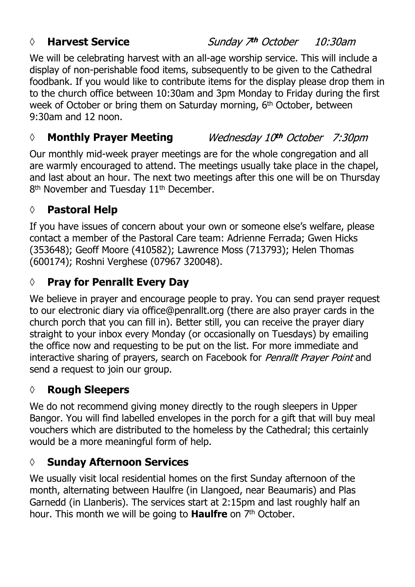#### *◊* **Harvest Service**

#### Sunday 7<sup>th</sup> October 10:30am

We will be celebrating harvest with an all-age worship service. This will include a display of non-perishable food items, subsequently to be given to the Cathedral foodbank. If you would like to contribute items for the display please drop them in to the church office between 10:30am and 3pm Monday to Friday during the first week of October or bring them on Saturday morning, 6<sup>th</sup> October, between 9:30am and 12 noon.

#### Wednesday 10th October 7:30pm *◊* **Monthly Prayer Meeting**

Our monthly mid-week prayer meetings are for the whole congregation and all are warmly encouraged to attend. The meetings usually take place in the chapel, and last about an hour. The next two meetings after this one will be on Thursday 8<sup>th</sup> November and Tuesday 11<sup>th</sup> December.

#### **◊ Pastoral Help**

If you have issues of concern about your own or someone else's welfare, please contact a member of the Pastoral Care team: Adrienne Ferrada; Gwen Hicks (353648); Geoff Moore (410582); Lawrence Moss (713793); Helen Thomas (600174); Roshni Verghese (07967 320048).

## **◊ Pray for Penrallt Every Day**

We believe in prayer and encourage people to pray. You can send prayer request to our electronic diary via office@penrallt.org (there are also prayer cards in the church porch that you can fill in). Better still, you can receive the prayer diary straight to your inbox every Monday (or occasionally on Tuesdays) by emailing the office now and requesting to be put on the list. For more immediate and interactive sharing of prayers, search on Facebook for Penrallt Prayer Point and send a request to join our group.

## **◊ Rough Sleepers**

We do not recommend giving money directly to the rough sleepers in Upper Bangor. You will find labelled envelopes in the porch for a gift that will buy meal vouchers which are distributed to the homeless by the Cathedral; this certainly would be a more meaningful form of help.

## **◊ Sunday Afternoon Services**

We usually visit local residential homes on the first Sunday afternoon of the month, alternating between Haulfre (in Llangoed, near Beaumaris) and Plas Garnedd (in Llanberis). The services start at 2:15pm and last roughly half an hour. This month we will be going to **Haulfre** on 7<sup>th</sup> October.